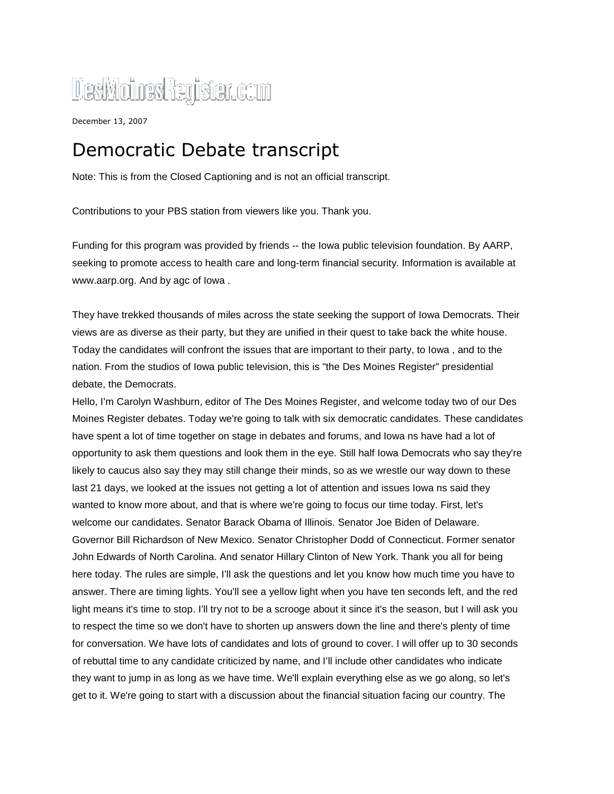# DesMoinesRegister.com

December 13, 2007

# Democratic Debate transcript

Note: This is from the Closed Captioning and is not an official transcript.

Contributions to your PBS station from viewers like you. Thank you.

Funding for this program was provided by friends -- the Iowa public television foundation. By AARP, seeking to promote access to health care and long-term financial security. Information is available at www.aarp.org. And by agc of Iowa .

They have trekked thousands of miles across the state seeking the support of Iowa Democrats. Their views are as diverse as their party, but they are unified in their quest to take back the white house. Today the candidates will confront the issues that are important to their party, to Iowa , and to the nation. From the studios of Iowa public television, this is "the Des Moines Register" presidential debate, the Democrats.

Hello, I'm Carolyn Washburn, editor of The Des Moines Register, and welcome today two of our Des Moines Register debates. Today we're going to talk with six democratic candidates. These candidates have spent a lot of time together on stage in debates and forums, and Iowa ns have had a lot of opportunity to ask them questions and look them in the eye. Still half Iowa Democrats who say they're likely to caucus also say they may still change their minds, so as we wrestle our way down to these last 21 days, we looked at the issues not getting a lot of attention and issues Iowa ns said they wanted to know more about, and that is where we're going to focus our time today. First, let's welcome our candidates. Senator Barack Obama of Illinois. Senator Joe Biden of Delaware. Governor Bill Richardson of New Mexico. Senator Christopher Dodd of Connecticut. Former senator John Edwards of North Carolina. And senator Hillary Clinton of New York. Thank you all for being here today. The rules are simple, I'll ask the questions and let you know how much time you have to answer. There are timing lights. You'll see a yellow light when you have ten seconds left, and the red light means it's time to stop. I'll try not to be a scrooge about it since it's the season, but I will ask you to respect the time so we don't have to shorten up answers down the line and there's plenty of time for conversation. We have lots of candidates and lots of ground to cover. I will offer up to 30 seconds of rebuttal time to any candidate criticized by name, and I'll include other candidates who indicate they want to jump in as long as we have time. We'll explain everything else as we go along, so let's get to it. We're going to start with a discussion about the financial situation facing our country. The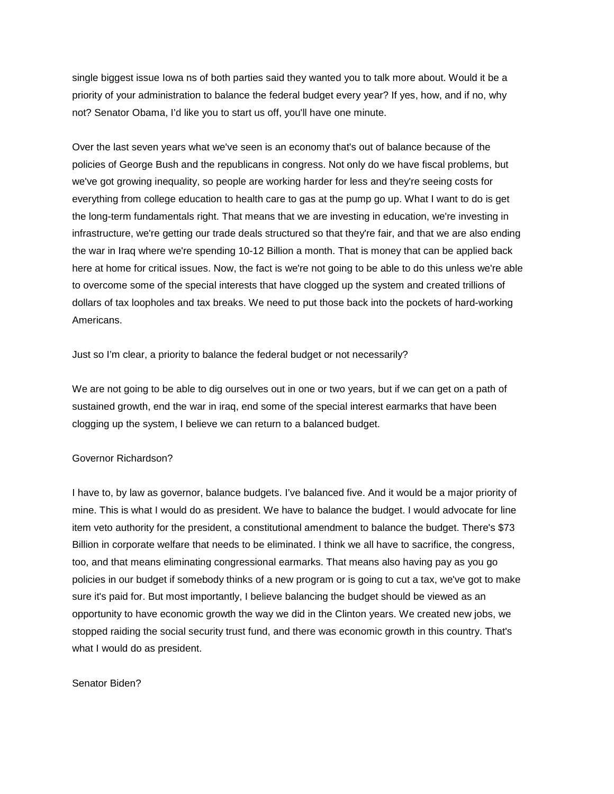single biggest issue Iowa ns of both parties said they wanted you to talk more about. Would it be a priority of your administration to balance the federal budget every year? If yes, how, and if no, why not? Senator Obama, I'd like you to start us off, you'll have one minute.

Over the last seven years what we've seen is an economy that's out of balance because of the policies of George Bush and the republicans in congress. Not only do we have fiscal problems, but we've got growing inequality, so people are working harder for less and they're seeing costs for everything from college education to health care to gas at the pump go up. What I want to do is get the long-term fundamentals right. That means that we are investing in education, we're investing in infrastructure, we're getting our trade deals structured so that they're fair, and that we are also ending the war in Iraq where we're spending 10-12 Billion a month. That is money that can be applied back here at home for critical issues. Now, the fact is we're not going to be able to do this unless we're able to overcome some of the special interests that have clogged up the system and created trillions of dollars of tax loopholes and tax breaks. We need to put those back into the pockets of hard-working Americans.

Just so I'm clear, a priority to balance the federal budget or not necessarily?

We are not going to be able to dig ourselves out in one or two years, but if we can get on a path of sustained growth, end the war in iraq, end some of the special interest earmarks that have been clogging up the system, I believe we can return to a balanced budget.

#### Governor Richardson?

I have to, by law as governor, balance budgets. I've balanced five. And it would be a major priority of mine. This is what I would do as president. We have to balance the budget. I would advocate for line item veto authority for the president, a constitutional amendment to balance the budget. There's \$73 Billion in corporate welfare that needs to be eliminated. I think we all have to sacrifice, the congress, too, and that means eliminating congressional earmarks. That means also having pay as you go policies in our budget if somebody thinks of a new program or is going to cut a tax, we've got to make sure it's paid for. But most importantly, I believe balancing the budget should be viewed as an opportunity to have economic growth the way we did in the Clinton years. We created new jobs, we stopped raiding the social security trust fund, and there was economic growth in this country. That's what I would do as president.

# Senator Biden?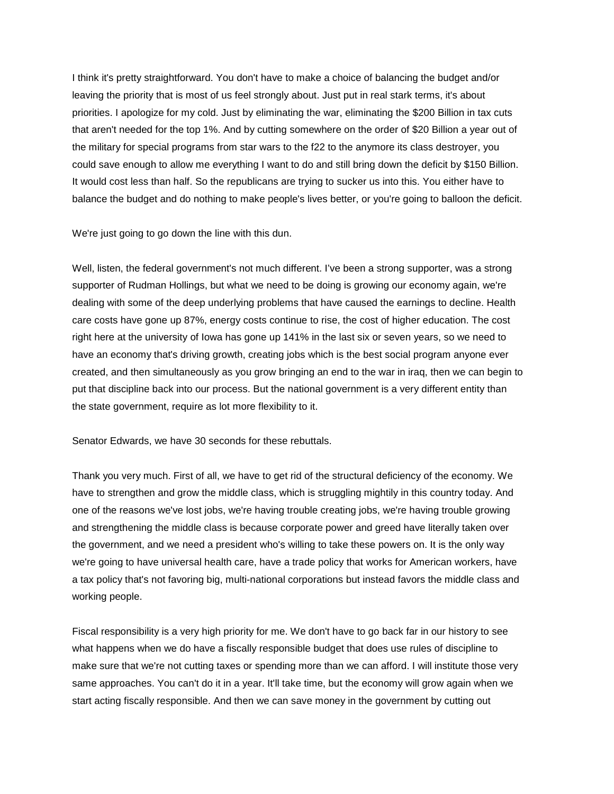I think it's pretty straightforward. You don't have to make a choice of balancing the budget and/or leaving the priority that is most of us feel strongly about. Just put in real stark terms, it's about priorities. I apologize for my cold. Just by eliminating the war, eliminating the \$200 Billion in tax cuts that aren't needed for the top 1%. And by cutting somewhere on the order of \$20 Billion a year out of the military for special programs from star wars to the f22 to the anymore its class destroyer, you could save enough to allow me everything I want to do and still bring down the deficit by \$150 Billion. It would cost less than half. So the republicans are trying to sucker us into this. You either have to balance the budget and do nothing to make people's lives better, or you're going to balloon the deficit.

We're just going to go down the line with this dun.

Well, listen, the federal government's not much different. I've been a strong supporter, was a strong supporter of Rudman Hollings, but what we need to be doing is growing our economy again, we're dealing with some of the deep underlying problems that have caused the earnings to decline. Health care costs have gone up 87%, energy costs continue to rise, the cost of higher education. The cost right here at the university of Iowa has gone up 141% in the last six or seven years, so we need to have an economy that's driving growth, creating jobs which is the best social program anyone ever created, and then simultaneously as you grow bringing an end to the war in iraq, then we can begin to put that discipline back into our process. But the national government is a very different entity than the state government, require as lot more flexibility to it.

Senator Edwards, we have 30 seconds for these rebuttals.

Thank you very much. First of all, we have to get rid of the structural deficiency of the economy. We have to strengthen and grow the middle class, which is struggling mightily in this country today. And one of the reasons we've lost jobs, we're having trouble creating jobs, we're having trouble growing and strengthening the middle class is because corporate power and greed have literally taken over the government, and we need a president who's willing to take these powers on. It is the only way we're going to have universal health care, have a trade policy that works for American workers, have a tax policy that's not favoring big, multi-national corporations but instead favors the middle class and working people.

Fiscal responsibility is a very high priority for me. We don't have to go back far in our history to see what happens when we do have a fiscally responsible budget that does use rules of discipline to make sure that we're not cutting taxes or spending more than we can afford. I will institute those very same approaches. You can't do it in a year. It'll take time, but the economy will grow again when we start acting fiscally responsible. And then we can save money in the government by cutting out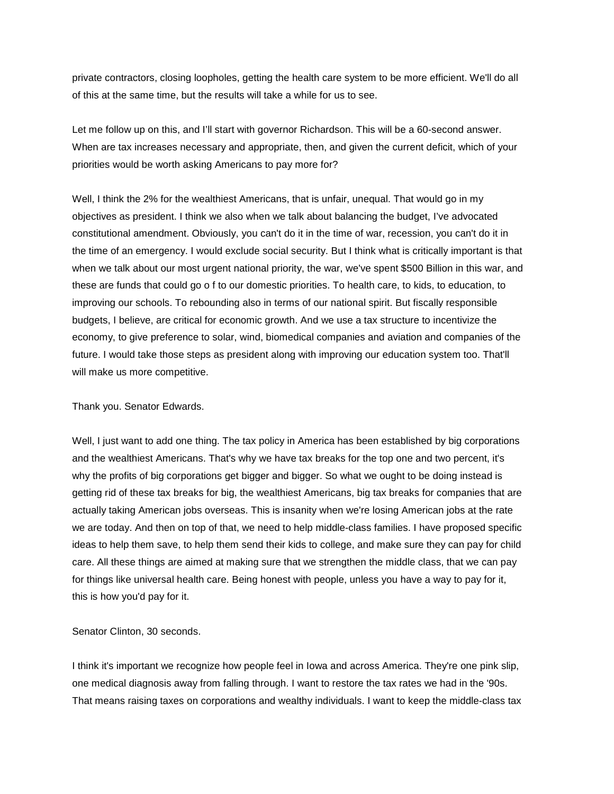private contractors, closing loopholes, getting the health care system to be more efficient. We'll do all of this at the same time, but the results will take a while for us to see.

Let me follow up on this, and I'll start with governor Richardson. This will be a 60-second answer. When are tax increases necessary and appropriate, then, and given the current deficit, which of your priorities would be worth asking Americans to pay more for?

Well, I think the 2% for the wealthiest Americans, that is unfair, unequal. That would go in my objectives as president. I think we also when we talk about balancing the budget, I've advocated constitutional amendment. Obviously, you can't do it in the time of war, recession, you can't do it in the time of an emergency. I would exclude social security. But I think what is critically important is that when we talk about our most urgent national priority, the war, we've spent \$500 Billion in this war, and these are funds that could go o f to our domestic priorities. To health care, to kids, to education, to improving our schools. To rebounding also in terms of our national spirit. But fiscally responsible budgets, I believe, are critical for economic growth. And we use a tax structure to incentivize the economy, to give preference to solar, wind, biomedical companies and aviation and companies of the future. I would take those steps as president along with improving our education system too. That'll will make us more competitive.

Thank you. Senator Edwards.

Well, I just want to add one thing. The tax policy in America has been established by big corporations and the wealthiest Americans. That's why we have tax breaks for the top one and two percent, it's why the profits of big corporations get bigger and bigger. So what we ought to be doing instead is getting rid of these tax breaks for big, the wealthiest Americans, big tax breaks for companies that are actually taking American jobs overseas. This is insanity when we're losing American jobs at the rate we are today. And then on top of that, we need to help middle-class families. I have proposed specific ideas to help them save, to help them send their kids to college, and make sure they can pay for child care. All these things are aimed at making sure that we strengthen the middle class, that we can pay for things like universal health care. Being honest with people, unless you have a way to pay for it, this is how you'd pay for it.

Senator Clinton, 30 seconds.

I think it's important we recognize how people feel in Iowa and across America. They're one pink slip, one medical diagnosis away from falling through. I want to restore the tax rates we had in the '90s. That means raising taxes on corporations and wealthy individuals. I want to keep the middle-class tax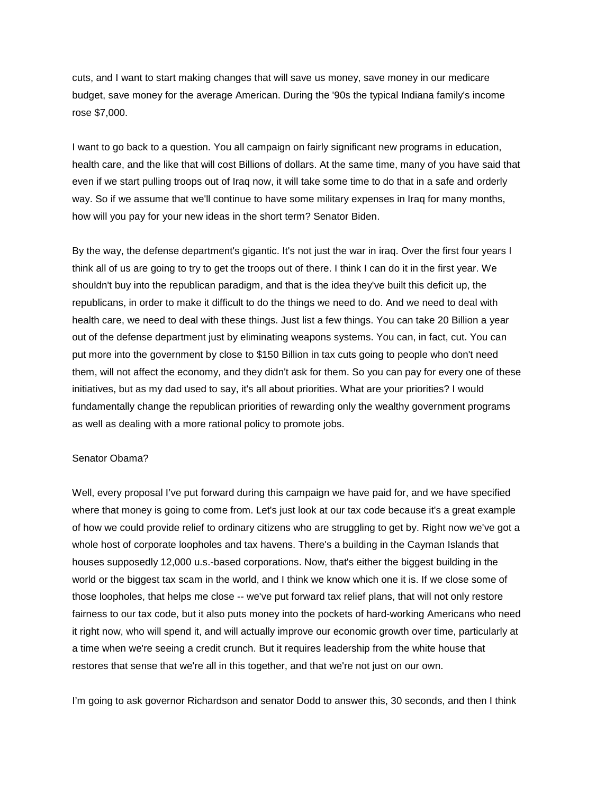cuts, and I want to start making changes that will save us money, save money in our medicare budget, save money for the average American. During the '90s the typical Indiana family's income rose \$7,000.

I want to go back to a question. You all campaign on fairly significant new programs in education, health care, and the like that will cost Billions of dollars. At the same time, many of you have said that even if we start pulling troops out of Iraq now, it will take some time to do that in a safe and orderly way. So if we assume that we'll continue to have some military expenses in Iraq for many months, how will you pay for your new ideas in the short term? Senator Biden.

By the way, the defense department's gigantic. It's not just the war in iraq. Over the first four years I think all of us are going to try to get the troops out of there. I think I can do it in the first year. We shouldn't buy into the republican paradigm, and that is the idea they've built this deficit up, the republicans, in order to make it difficult to do the things we need to do. And we need to deal with health care, we need to deal with these things. Just list a few things. You can take 20 Billion a year out of the defense department just by eliminating weapons systems. You can, in fact, cut. You can put more into the government by close to \$150 Billion in tax cuts going to people who don't need them, will not affect the economy, and they didn't ask for them. So you can pay for every one of these initiatives, but as my dad used to say, it's all about priorities. What are your priorities? I would fundamentally change the republican priorities of rewarding only the wealthy government programs as well as dealing with a more rational policy to promote jobs.

#### Senator Obama?

Well, every proposal I've put forward during this campaign we have paid for, and we have specified where that money is going to come from. Let's just look at our tax code because it's a great example of how we could provide relief to ordinary citizens who are struggling to get by. Right now we've got a whole host of corporate loopholes and tax havens. There's a building in the Cayman Islands that houses supposedly 12,000 u.s.-based corporations. Now, that's either the biggest building in the world or the biggest tax scam in the world, and I think we know which one it is. If we close some of those loopholes, that helps me close -- we've put forward tax relief plans, that will not only restore fairness to our tax code, but it also puts money into the pockets of hard-working Americans who need it right now, who will spend it, and will actually improve our economic growth over time, particularly at a time when we're seeing a credit crunch. But it requires leadership from the white house that restores that sense that we're all in this together, and that we're not just on our own.

I'm going to ask governor Richardson and senator Dodd to answer this, 30 seconds, and then I think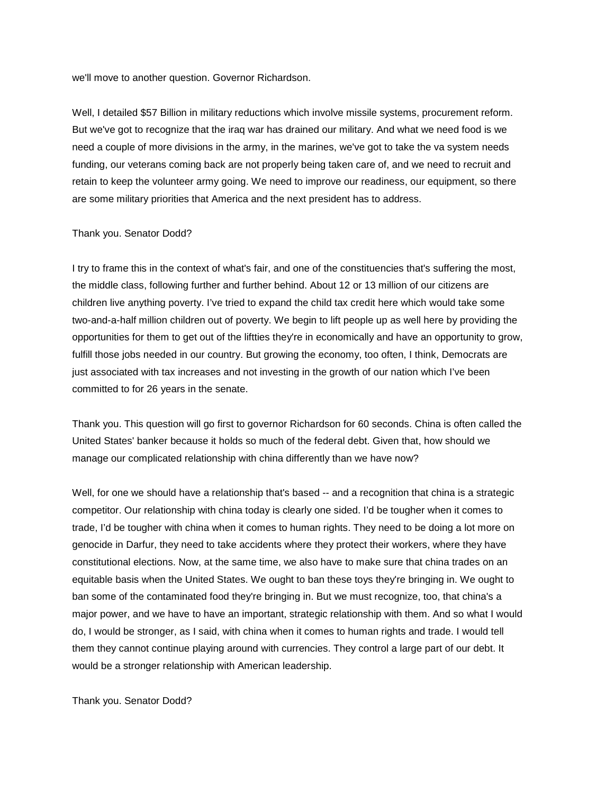we'll move to another question. Governor Richardson.

Well, I detailed \$57 Billion in military reductions which involve missile systems, procurement reform. But we've got to recognize that the iraq war has drained our military. And what we need food is we need a couple of more divisions in the army, in the marines, we've got to take the va system needs funding, our veterans coming back are not properly being taken care of, and we need to recruit and retain to keep the volunteer army going. We need to improve our readiness, our equipment, so there are some military priorities that America and the next president has to address.

#### Thank you. Senator Dodd?

I try to frame this in the context of what's fair, and one of the constituencies that's suffering the most, the middle class, following further and further behind. About 12 or 13 million of our citizens are children live anything poverty. I've tried to expand the child tax credit here which would take some two-and-a-half million children out of poverty. We begin to lift people up as well here by providing the opportunities for them to get out of the liftties they're in economically and have an opportunity to grow, fulfill those jobs needed in our country. But growing the economy, too often, I think, Democrats are just associated with tax increases and not investing in the growth of our nation which I've been committed to for 26 years in the senate.

Thank you. This question will go first to governor Richardson for 60 seconds. China is often called the United States' banker because it holds so much of the federal debt. Given that, how should we manage our complicated relationship with china differently than we have now?

Well, for one we should have a relationship that's based -- and a recognition that china is a strategic competitor. Our relationship with china today is clearly one sided. I'd be tougher when it comes to trade, I'd be tougher with china when it comes to human rights. They need to be doing a lot more on genocide in Darfur, they need to take accidents where they protect their workers, where they have constitutional elections. Now, at the same time, we also have to make sure that china trades on an equitable basis when the United States. We ought to ban these toys they're bringing in. We ought to ban some of the contaminated food they're bringing in. But we must recognize, too, that china's a major power, and we have to have an important, strategic relationship with them. And so what I would do, I would be stronger, as I said, with china when it comes to human rights and trade. I would tell them they cannot continue playing around with currencies. They control a large part of our debt. It would be a stronger relationship with American leadership.

Thank you. Senator Dodd?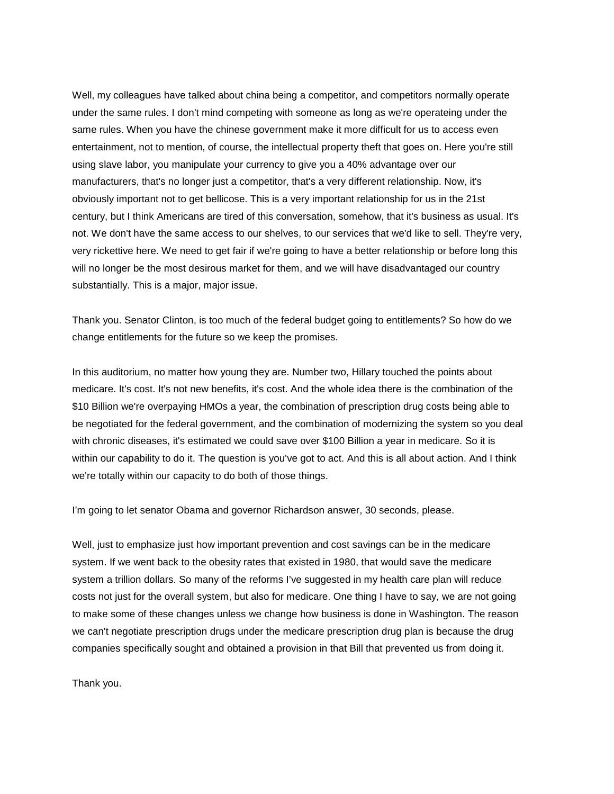Well, my colleagues have talked about china being a competitor, and competitors normally operate under the same rules. I don't mind competing with someone as long as we're operateing under the same rules. When you have the chinese government make it more difficult for us to access even entertainment, not to mention, of course, the intellectual property theft that goes on. Here you're still using slave labor, you manipulate your currency to give you a 40% advantage over our manufacturers, that's no longer just a competitor, that's a very different relationship. Now, it's obviously important not to get bellicose. This is a very important relationship for us in the 21st century, but I think Americans are tired of this conversation, somehow, that it's business as usual. It's not. We don't have the same access to our shelves, to our services that we'd like to sell. They're very, very rickettive here. We need to get fair if we're going to have a better relationship or before long this will no longer be the most desirous market for them, and we will have disadvantaged our country substantially. This is a major, major issue.

Thank you. Senator Clinton, is too much of the federal budget going to entitlements? So how do we change entitlements for the future so we keep the promises.

In this auditorium, no matter how young they are. Number two, Hillary touched the points about medicare. It's cost. It's not new benefits, it's cost. And the whole idea there is the combination of the \$10 Billion we're overpaying HMOs a year, the combination of prescription drug costs being able to be negotiated for the federal government, and the combination of modernizing the system so you deal with chronic diseases, it's estimated we could save over \$100 Billion a year in medicare. So it is within our capability to do it. The question is you've got to act. And this is all about action. And I think we're totally within our capacity to do both of those things.

I'm going to let senator Obama and governor Richardson answer, 30 seconds, please.

Well, just to emphasize just how important prevention and cost savings can be in the medicare system. If we went back to the obesity rates that existed in 1980, that would save the medicare system a trillion dollars. So many of the reforms I've suggested in my health care plan will reduce costs not just for the overall system, but also for medicare. One thing I have to say, we are not going to make some of these changes unless we change how business is done in Washington. The reason we can't negotiate prescription drugs under the medicare prescription drug plan is because the drug companies specifically sought and obtained a provision in that Bill that prevented us from doing it.

Thank you.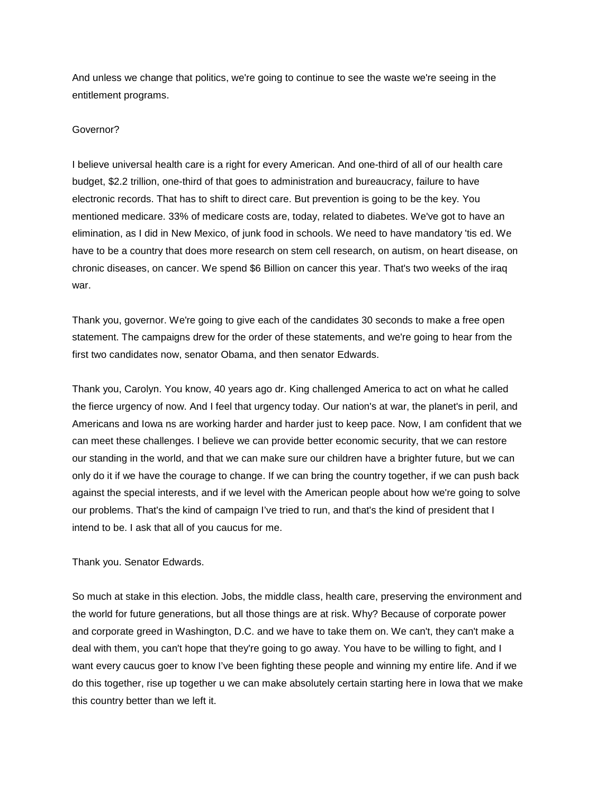And unless we change that politics, we're going to continue to see the waste we're seeing in the entitlement programs.

# Governor?

I believe universal health care is a right for every American. And one-third of all of our health care budget, \$2.2 trillion, one-third of that goes to administration and bureaucracy, failure to have electronic records. That has to shift to direct care. But prevention is going to be the key. You mentioned medicare. 33% of medicare costs are, today, related to diabetes. We've got to have an elimination, as I did in New Mexico, of junk food in schools. We need to have mandatory 'tis ed. We have to be a country that does more research on stem cell research, on autism, on heart disease, on chronic diseases, on cancer. We spend \$6 Billion on cancer this year. That's two weeks of the iraq war.

Thank you, governor. We're going to give each of the candidates 30 seconds to make a free open statement. The campaigns drew for the order of these statements, and we're going to hear from the first two candidates now, senator Obama, and then senator Edwards.

Thank you, Carolyn. You know, 40 years ago dr. King challenged America to act on what he called the fierce urgency of now. And I feel that urgency today. Our nation's at war, the planet's in peril, and Americans and Iowa ns are working harder and harder just to keep pace. Now, I am confident that we can meet these challenges. I believe we can provide better economic security, that we can restore our standing in the world, and that we can make sure our children have a brighter future, but we can only do it if we have the courage to change. If we can bring the country together, if we can push back against the special interests, and if we level with the American people about how we're going to solve our problems. That's the kind of campaign I've tried to run, and that's the kind of president that I intend to be. I ask that all of you caucus for me.

Thank you. Senator Edwards.

So much at stake in this election. Jobs, the middle class, health care, preserving the environment and the world for future generations, but all those things are at risk. Why? Because of corporate power and corporate greed in Washington, D.C. and we have to take them on. We can't, they can't make a deal with them, you can't hope that they're going to go away. You have to be willing to fight, and I want every caucus goer to know I've been fighting these people and winning my entire life. And if we do this together, rise up together u we can make absolutely certain starting here in Iowa that we make this country better than we left it.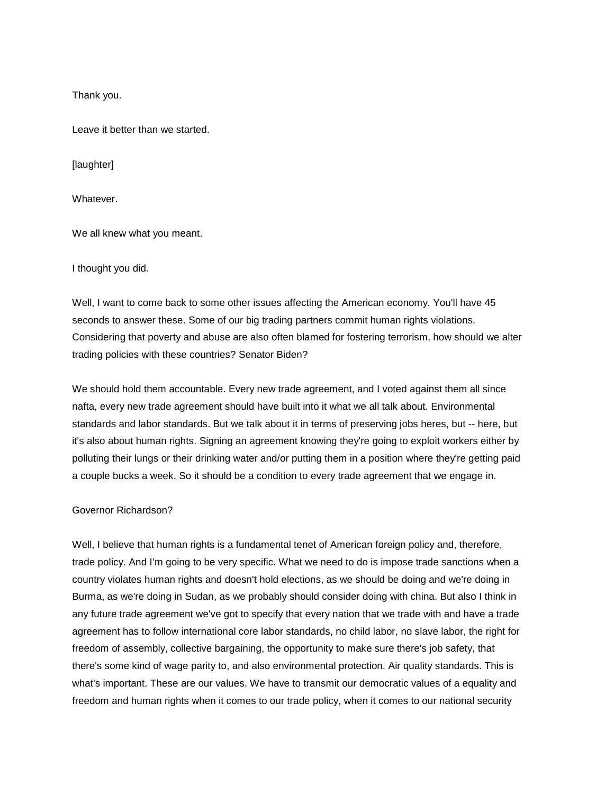Thank you.

Leave it better than we started.

[laughter]

Whatever

We all knew what you meant.

I thought you did.

Well, I want to come back to some other issues affecting the American economy. You'll have 45 seconds to answer these. Some of our big trading partners commit human rights violations. Considering that poverty and abuse are also often blamed for fostering terrorism, how should we alter trading policies with these countries? Senator Biden?

We should hold them accountable. Every new trade agreement, and I voted against them all since nafta, every new trade agreement should have built into it what we all talk about. Environmental standards and labor standards. But we talk about it in terms of preserving jobs heres, but -- here, but it's also about human rights. Signing an agreement knowing they're going to exploit workers either by polluting their lungs or their drinking water and/or putting them in a position where they're getting paid a couple bucks a week. So it should be a condition to every trade agreement that we engage in.

#### Governor Richardson?

Well, I believe that human rights is a fundamental tenet of American foreign policy and, therefore, trade policy. And I'm going to be very specific. What we need to do is impose trade sanctions when a country violates human rights and doesn't hold elections, as we should be doing and we're doing in Burma, as we're doing in Sudan, as we probably should consider doing with china. But also I think in any future trade agreement we've got to specify that every nation that we trade with and have a trade agreement has to follow international core labor standards, no child labor, no slave labor, the right for freedom of assembly, collective bargaining, the opportunity to make sure there's job safety, that there's some kind of wage parity to, and also environmental protection. Air quality standards. This is what's important. These are our values. We have to transmit our democratic values of a equality and freedom and human rights when it comes to our trade policy, when it comes to our national security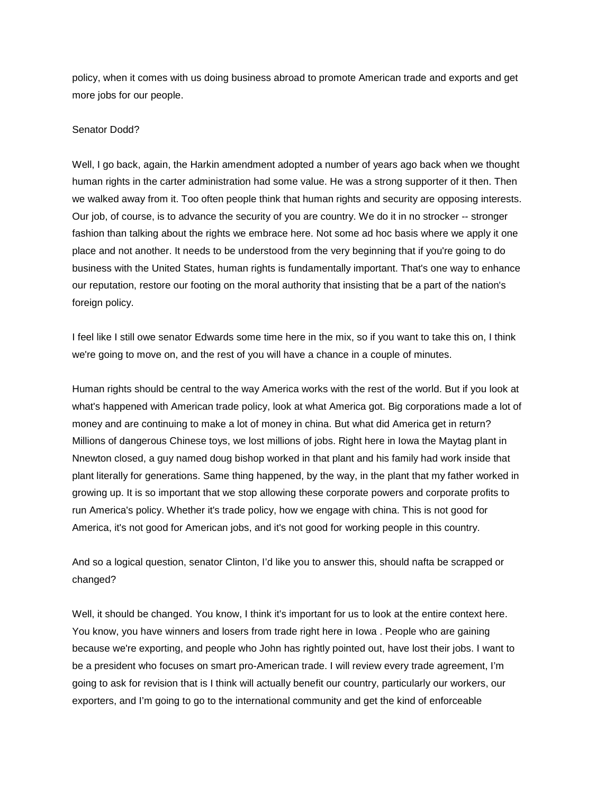policy, when it comes with us doing business abroad to promote American trade and exports and get more jobs for our people.

#### Senator Dodd?

Well, I go back, again, the Harkin amendment adopted a number of years ago back when we thought human rights in the carter administration had some value. He was a strong supporter of it then. Then we walked away from it. Too often people think that human rights and security are opposing interests. Our job, of course, is to advance the security of you are country. We do it in no strocker -- stronger fashion than talking about the rights we embrace here. Not some ad hoc basis where we apply it one place and not another. It needs to be understood from the very beginning that if you're going to do business with the United States, human rights is fundamentally important. That's one way to enhance our reputation, restore our footing on the moral authority that insisting that be a part of the nation's foreign policy.

I feel like I still owe senator Edwards some time here in the mix, so if you want to take this on, I think we're going to move on, and the rest of you will have a chance in a couple of minutes.

Human rights should be central to the way America works with the rest of the world. But if you look at what's happened with American trade policy, look at what America got. Big corporations made a lot of money and are continuing to make a lot of money in china. But what did America get in return? Millions of dangerous Chinese toys, we lost millions of jobs. Right here in Iowa the Maytag plant in Nnewton closed, a guy named doug bishop worked in that plant and his family had work inside that plant literally for generations. Same thing happened, by the way, in the plant that my father worked in growing up. It is so important that we stop allowing these corporate powers and corporate profits to run America's policy. Whether it's trade policy, how we engage with china. This is not good for America, it's not good for American jobs, and it's not good for working people in this country.

And so a logical question, senator Clinton, I'd like you to answer this, should nafta be scrapped or changed?

Well, it should be changed. You know, I think it's important for us to look at the entire context here. You know, you have winners and losers from trade right here in Iowa . People who are gaining because we're exporting, and people who John has rightly pointed out, have lost their jobs. I want to be a president who focuses on smart pro-American trade. I will review every trade agreement, I'm going to ask for revision that is I think will actually benefit our country, particularly our workers, our exporters, and I'm going to go to the international community and get the kind of enforceable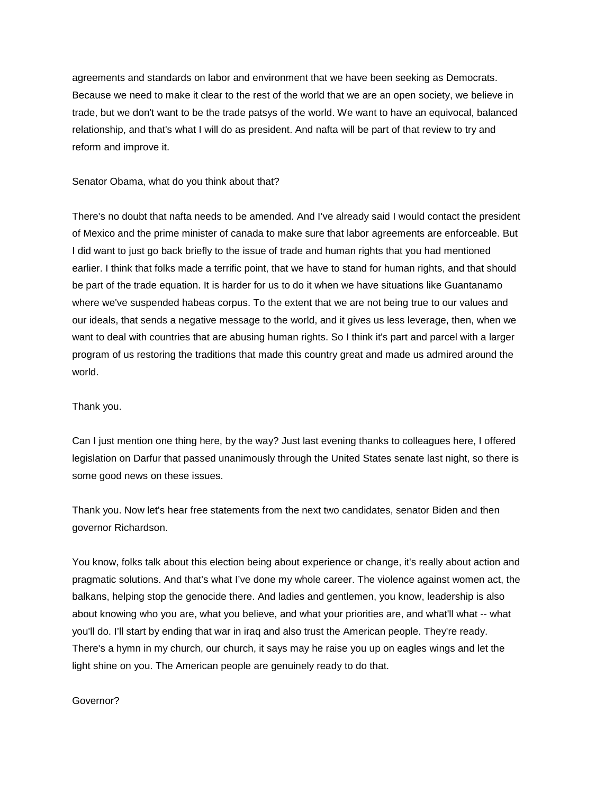agreements and standards on labor and environment that we have been seeking as Democrats. Because we need to make it clear to the rest of the world that we are an open society, we believe in trade, but we don't want to be the trade patsys of the world. We want to have an equivocal, balanced relationship, and that's what I will do as president. And nafta will be part of that review to try and reform and improve it.

Senator Obama, what do you think about that?

There's no doubt that nafta needs to be amended. And I've already said I would contact the president of Mexico and the prime minister of canada to make sure that labor agreements are enforceable. But I did want to just go back briefly to the issue of trade and human rights that you had mentioned earlier. I think that folks made a terrific point, that we have to stand for human rights, and that should be part of the trade equation. It is harder for us to do it when we have situations like Guantanamo where we've suspended habeas corpus. To the extent that we are not being true to our values and our ideals, that sends a negative message to the world, and it gives us less leverage, then, when we want to deal with countries that are abusing human rights. So I think it's part and parcel with a larger program of us restoring the traditions that made this country great and made us admired around the world.

#### Thank you.

Can I just mention one thing here, by the way? Just last evening thanks to colleagues here, I offered legislation on Darfur that passed unanimously through the United States senate last night, so there is some good news on these issues.

Thank you. Now let's hear free statements from the next two candidates, senator Biden and then governor Richardson.

You know, folks talk about this election being about experience or change, it's really about action and pragmatic solutions. And that's what I've done my whole career. The violence against women act, the balkans, helping stop the genocide there. And ladies and gentlemen, you know, leadership is also about knowing who you are, what you believe, and what your priorities are, and what'll what -- what you'll do. I'll start by ending that war in iraq and also trust the American people. They're ready. There's a hymn in my church, our church, it says may he raise you up on eagles wings and let the light shine on you. The American people are genuinely ready to do that.

#### Governor?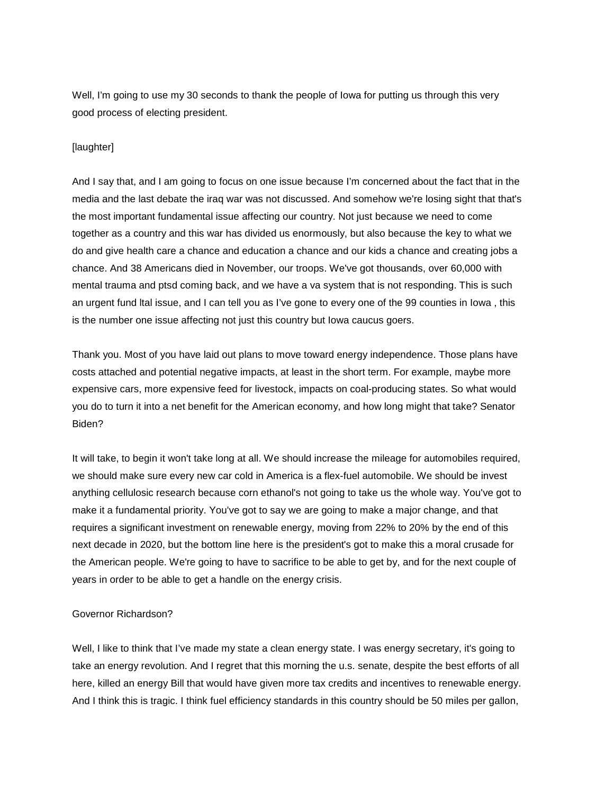Well, I'm going to use my 30 seconds to thank the people of lowa for putting us through this very good process of electing president.

#### [laughter]

And I say that, and I am going to focus on one issue because I'm concerned about the fact that in the media and the last debate the iraq war was not discussed. And somehow we're losing sight that that's the most important fundamental issue affecting our country. Not just because we need to come together as a country and this war has divided us enormously, but also because the key to what we do and give health care a chance and education a chance and our kids a chance and creating jobs a chance. And 38 Americans died in November, our troops. We've got thousands, over 60,000 with mental trauma and ptsd coming back, and we have a va system that is not responding. This is such an urgent fund ltal issue, and I can tell you as I've gone to every one of the 99 counties in Iowa , this is the number one issue affecting not just this country but Iowa caucus goers.

Thank you. Most of you have laid out plans to move toward energy independence. Those plans have costs attached and potential negative impacts, at least in the short term. For example, maybe more expensive cars, more expensive feed for livestock, impacts on coal-producing states. So what would you do to turn it into a net benefit for the American economy, and how long might that take? Senator Biden?

It will take, to begin it won't take long at all. We should increase the mileage for automobiles required, we should make sure every new car cold in America is a flex-fuel automobile. We should be invest anything cellulosic research because corn ethanol's not going to take us the whole way. You've got to make it a fundamental priority. You've got to say we are going to make a major change, and that requires a significant investment on renewable energy, moving from 22% to 20% by the end of this next decade in 2020, but the bottom line here is the president's got to make this a moral crusade for the American people. We're going to have to sacrifice to be able to get by, and for the next couple of years in order to be able to get a handle on the energy crisis.

#### Governor Richardson?

Well, I like to think that I've made my state a clean energy state. I was energy secretary, it's going to take an energy revolution. And I regret that this morning the u.s. senate, despite the best efforts of all here, killed an energy Bill that would have given more tax credits and incentives to renewable energy. And I think this is tragic. I think fuel efficiency standards in this country should be 50 miles per gallon,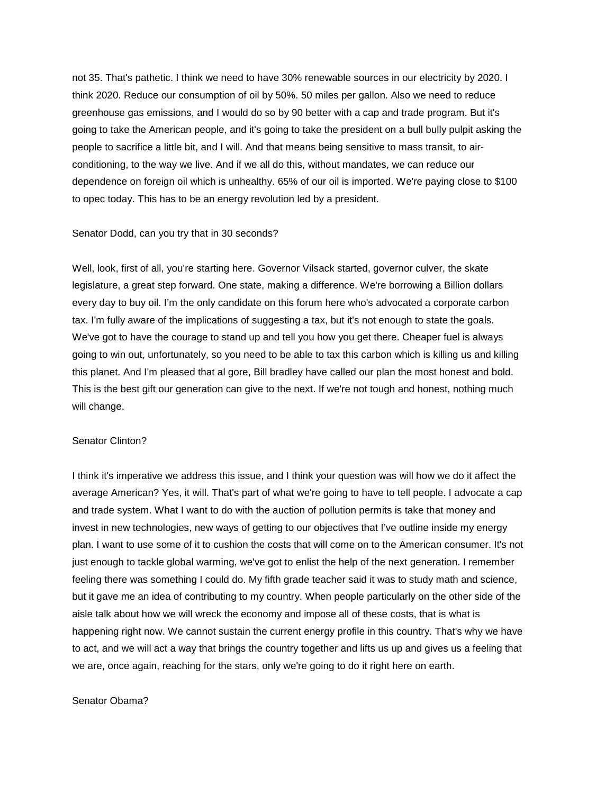not 35. That's pathetic. I think we need to have 30% renewable sources in our electricity by 2020. I think 2020. Reduce our consumption of oil by 50%. 50 miles per gallon. Also we need to reduce greenhouse gas emissions, and I would do so by 90 better with a cap and trade program. But it's going to take the American people, and it's going to take the president on a bull bully pulpit asking the people to sacrifice a little bit, and I will. And that means being sensitive to mass transit, to airconditioning, to the way we live. And if we all do this, without mandates, we can reduce our dependence on foreign oil which is unhealthy. 65% of our oil is imported. We're paying close to \$100 to opec today. This has to be an energy revolution led by a president.

#### Senator Dodd, can you try that in 30 seconds?

Well, look, first of all, you're starting here. Governor Vilsack started, governor culver, the skate legislature, a great step forward. One state, making a difference. We're borrowing a Billion dollars every day to buy oil. I'm the only candidate on this forum here who's advocated a corporate carbon tax. I'm fully aware of the implications of suggesting a tax, but it's not enough to state the goals. We've got to have the courage to stand up and tell you how you get there. Cheaper fuel is always going to win out, unfortunately, so you need to be able to tax this carbon which is killing us and killing this planet. And I'm pleased that al gore, Bill bradley have called our plan the most honest and bold. This is the best gift our generation can give to the next. If we're not tough and honest, nothing much will change.

#### Senator Clinton?

I think it's imperative we address this issue, and I think your question was will how we do it affect the average American? Yes, it will. That's part of what we're going to have to tell people. I advocate a cap and trade system. What I want to do with the auction of pollution permits is take that money and invest in new technologies, new ways of getting to our objectives that I've outline inside my energy plan. I want to use some of it to cushion the costs that will come on to the American consumer. It's not just enough to tackle global warming, we've got to enlist the help of the next generation. I remember feeling there was something I could do. My fifth grade teacher said it was to study math and science, but it gave me an idea of contributing to my country. When people particularly on the other side of the aisle talk about how we will wreck the economy and impose all of these costs, that is what is happening right now. We cannot sustain the current energy profile in this country. That's why we have to act, and we will act a way that brings the country together and lifts us up and gives us a feeling that we are, once again, reaching for the stars, only we're going to do it right here on earth.

#### Senator Obama?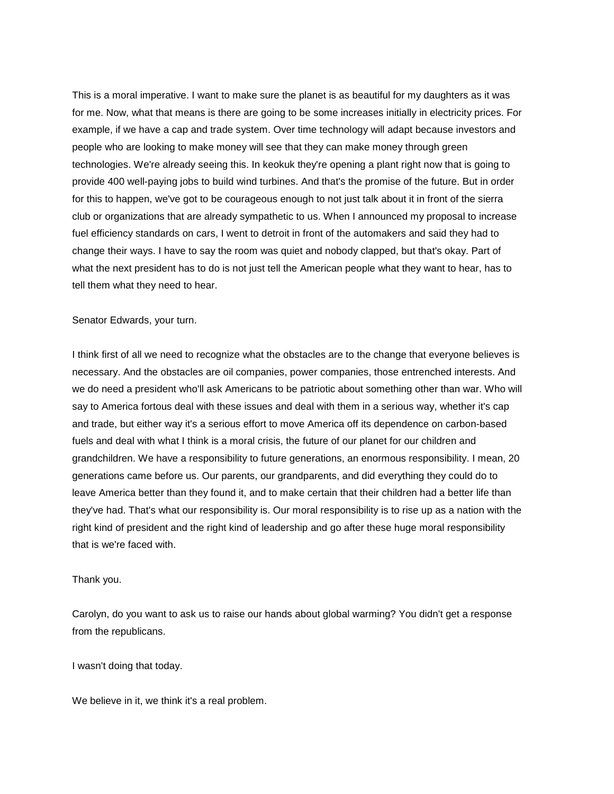This is a moral imperative. I want to make sure the planet is as beautiful for my daughters as it was for me. Now, what that means is there are going to be some increases initially in electricity prices. For example, if we have a cap and trade system. Over time technology will adapt because investors and people who are looking to make money will see that they can make money through green technologies. We're already seeing this. In keokuk they're opening a plant right now that is going to provide 400 well-paying jobs to build wind turbines. And that's the promise of the future. But in order for this to happen, we've got to be courageous enough to not just talk about it in front of the sierra club or organizations that are already sympathetic to us. When I announced my proposal to increase fuel efficiency standards on cars, I went to detroit in front of the automakers and said they had to change their ways. I have to say the room was quiet and nobody clapped, but that's okay. Part of what the next president has to do is not just tell the American people what they want to hear, has to tell them what they need to hear.

#### Senator Edwards, your turn.

I think first of all we need to recognize what the obstacles are to the change that everyone believes is necessary. And the obstacles are oil companies, power companies, those entrenched interests. And we do need a president who'll ask Americans to be patriotic about something other than war. Who will say to America fortous deal with these issues and deal with them in a serious way, whether it's cap and trade, but either way it's a serious effort to move America off its dependence on carbon-based fuels and deal with what I think is a moral crisis, the future of our planet for our children and grandchildren. We have a responsibility to future generations, an enormous responsibility. I mean, 20 generations came before us. Our parents, our grandparents, and did everything they could do to leave America better than they found it, and to make certain that their children had a better life than they've had. That's what our responsibility is. Our moral responsibility is to rise up as a nation with the right kind of president and the right kind of leadership and go after these huge moral responsibility that is we're faced with.

#### Thank you.

Carolyn, do you want to ask us to raise our hands about global warming? You didn't get a response from the republicans.

I wasn't doing that today.

We believe in it, we think it's a real problem.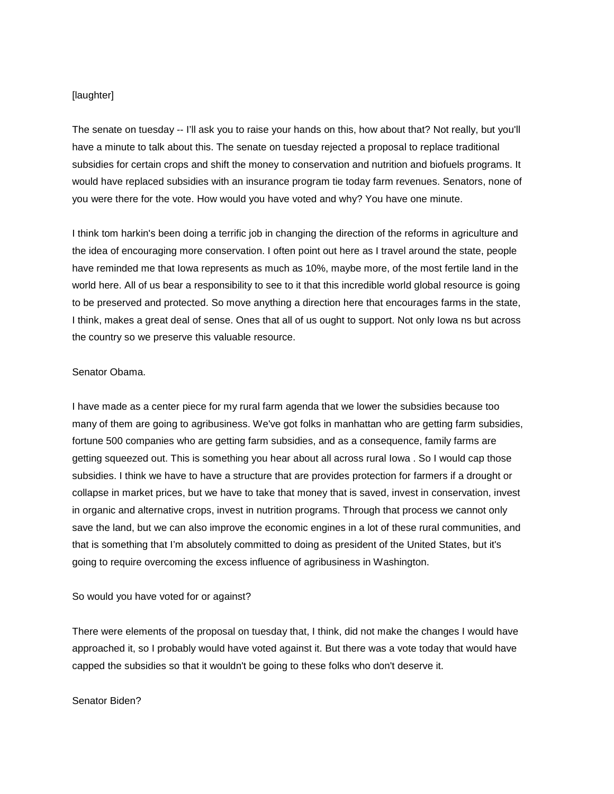#### [laughter]

The senate on tuesday -- I'll ask you to raise your hands on this, how about that? Not really, but you'll have a minute to talk about this. The senate on tuesday rejected a proposal to replace traditional subsidies for certain crops and shift the money to conservation and nutrition and biofuels programs. It would have replaced subsidies with an insurance program tie today farm revenues. Senators, none of you were there for the vote. How would you have voted and why? You have one minute.

I think tom harkin's been doing a terrific job in changing the direction of the reforms in agriculture and the idea of encouraging more conservation. I often point out here as I travel around the state, people have reminded me that Iowa represents as much as 10%, maybe more, of the most fertile land in the world here. All of us bear a responsibility to see to it that this incredible world global resource is going to be preserved and protected. So move anything a direction here that encourages farms in the state, I think, makes a great deal of sense. Ones that all of us ought to support. Not only Iowa ns but across the country so we preserve this valuable resource.

#### Senator Obama.

I have made as a center piece for my rural farm agenda that we lower the subsidies because too many of them are going to agribusiness. We've got folks in manhattan who are getting farm subsidies, fortune 500 companies who are getting farm subsidies, and as a consequence, family farms are getting squeezed out. This is something you hear about all across rural Iowa . So I would cap those subsidies. I think we have to have a structure that are provides protection for farmers if a drought or collapse in market prices, but we have to take that money that is saved, invest in conservation, invest in organic and alternative crops, invest in nutrition programs. Through that process we cannot only save the land, but we can also improve the economic engines in a lot of these rural communities, and that is something that I'm absolutely committed to doing as president of the United States, but it's going to require overcoming the excess influence of agribusiness in Washington.

So would you have voted for or against?

There were elements of the proposal on tuesday that, I think, did not make the changes I would have approached it, so I probably would have voted against it. But there was a vote today that would have capped the subsidies so that it wouldn't be going to these folks who don't deserve it.

# Senator Biden?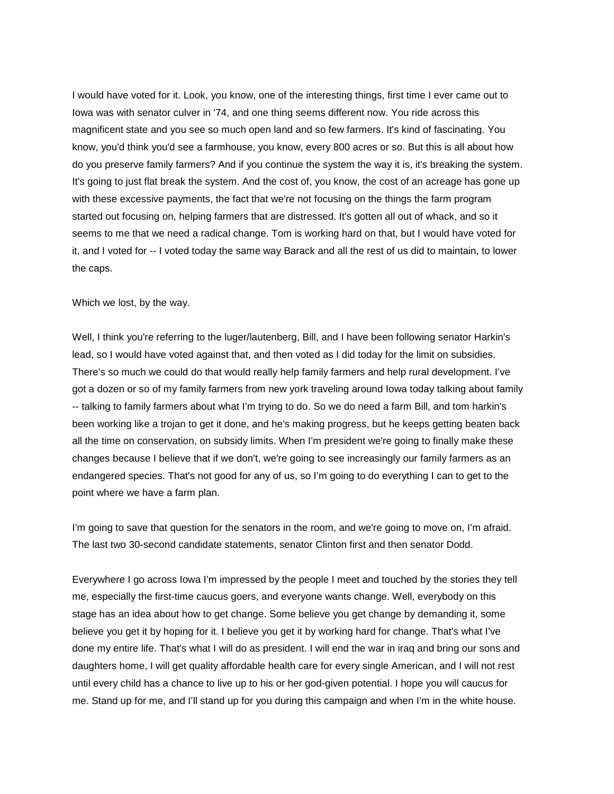I would have voted for it. Look, you know, one of the interesting things, first time I ever came out to Iowa was with senator culver in '74, and one thing seems different now. You ride across this magnificent state and you see so much open land and so few farmers. It's kind of fascinating. You know, you'd think you'd see a farmhouse, you know, every 800 acres or so. But this is all about how do you preserve family farmers? And if you continue the system the way it is, it's breaking the system. It's going to just flat break the system. And the cost of, you know, the cost of an acreage has gone up with these excessive payments, the fact that we're not focusing on the things the farm program started out focusing on, helping farmers that are distressed. It's gotten all out of whack, and so it seems to me that we need a radical change. Tom is working hard on that, but I would have voted for it, and I voted for -- I voted today the same way Barack and all the rest of us did to maintain, to lower the caps.

#### Which we lost, by the way.

Well, I think you're referring to the luger/lautenberg, Bill, and I have been following senator Harkin's lead, so I would have voted against that, and then voted as I did today for the limit on subsidies. There's so much we could do that would really help family farmers and help rural development. I've got a dozen or so of my family farmers from new york traveling around Iowa today talking about family -- talking to family farmers about what I'm trying to do. So we do need a farm Bill, and tom harkin's been working like a trojan to get it done, and he's making progress, but he keeps getting beaten back all the time on conservation, on subsidy limits. When I'm president we're going to finally make these changes because I believe that if we don't, we're going to see increasingly our family farmers as an endangered species. That's not good for any of us, so I'm going to do everything I can to get to the point where we have a farm plan.

I'm going to save that question for the senators in the room, and we're going to move on, I'm afraid. The last two 30-second candidate statements, senator Clinton first and then senator Dodd.

Everywhere I go across Iowa I'm impressed by the people I meet and touched by the stories they tell me, especially the first-time caucus goers, and everyone wants change. Well, everybody on this stage has an idea about how to get change. Some believe you get change by demanding it, some believe you get it by hoping for it. I believe you get it by working hard for change. That's what I've done my entire life. That's what I will do as president. I will end the war in iraq and bring our sons and daughters home, I will get quality affordable health care for every single American, and I will not rest until every child has a chance to live up to his or her god-given potential. I hope you will caucus for me. Stand up for me, and I'll stand up for you during this campaign and when I'm in the white house.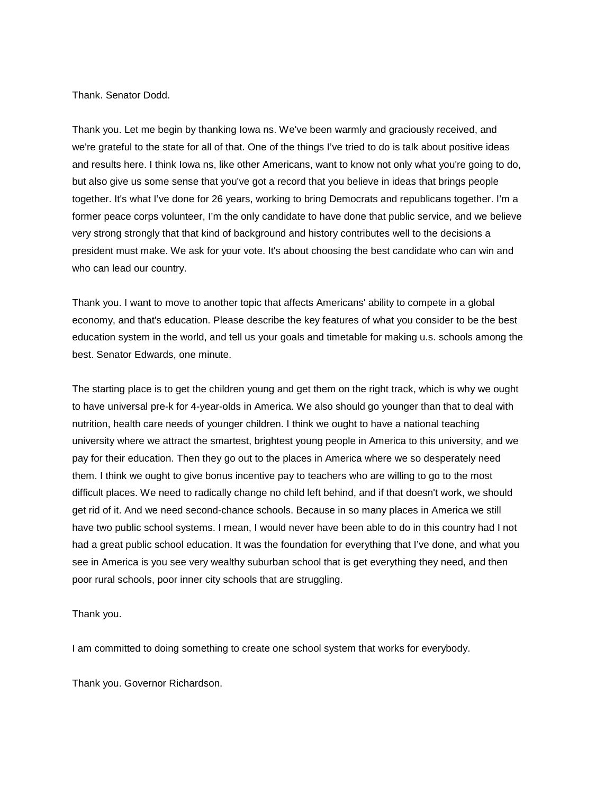Thank. Senator Dodd.

Thank you. Let me begin by thanking Iowa ns. We've been warmly and graciously received, and we're grateful to the state for all of that. One of the things I've tried to do is talk about positive ideas and results here. I think Iowa ns, like other Americans, want to know not only what you're going to do, but also give us some sense that you've got a record that you believe in ideas that brings people together. It's what I've done for 26 years, working to bring Democrats and republicans together. I'm a former peace corps volunteer, I'm the only candidate to have done that public service, and we believe very strong strongly that that kind of background and history contributes well to the decisions a president must make. We ask for your vote. It's about choosing the best candidate who can win and who can lead our country.

Thank you. I want to move to another topic that affects Americans' ability to compete in a global economy, and that's education. Please describe the key features of what you consider to be the best education system in the world, and tell us your goals and timetable for making u.s. schools among the best. Senator Edwards, one minute.

The starting place is to get the children young and get them on the right track, which is why we ought to have universal pre-k for 4-year-olds in America. We also should go younger than that to deal with nutrition, health care needs of younger children. I think we ought to have a national teaching university where we attract the smartest, brightest young people in America to this university, and we pay for their education. Then they go out to the places in America where we so desperately need them. I think we ought to give bonus incentive pay to teachers who are willing to go to the most difficult places. We need to radically change no child left behind, and if that doesn't work, we should get rid of it. And we need second-chance schools. Because in so many places in America we still have two public school systems. I mean, I would never have been able to do in this country had I not had a great public school education. It was the foundation for everything that I've done, and what you see in America is you see very wealthy suburban school that is get everything they need, and then poor rural schools, poor inner city schools that are struggling.

Thank you.

I am committed to doing something to create one school system that works for everybody.

Thank you. Governor Richardson.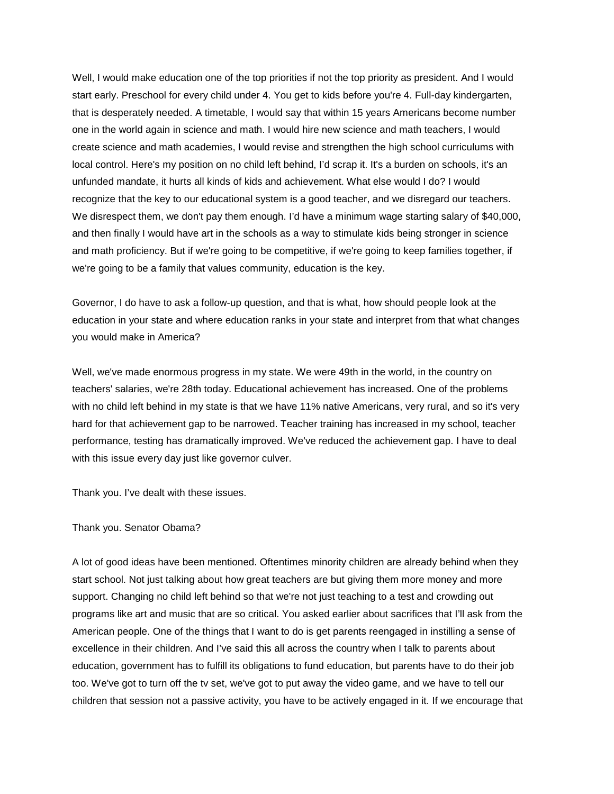Well, I would make education one of the top priorities if not the top priority as president. And I would start early. Preschool for every child under 4. You get to kids before you're 4. Full-day kindergarten, that is desperately needed. A timetable, I would say that within 15 years Americans become number one in the world again in science and math. I would hire new science and math teachers, I would create science and math academies, I would revise and strengthen the high school curriculums with local control. Here's my position on no child left behind, I'd scrap it. It's a burden on schools, it's an unfunded mandate, it hurts all kinds of kids and achievement. What else would I do? I would recognize that the key to our educational system is a good teacher, and we disregard our teachers. We disrespect them, we don't pay them enough. I'd have a minimum wage starting salary of \$40,000, and then finally I would have art in the schools as a way to stimulate kids being stronger in science and math proficiency. But if we're going to be competitive, if we're going to keep families together, if we're going to be a family that values community, education is the key.

Governor, I do have to ask a follow-up question, and that is what, how should people look at the education in your state and where education ranks in your state and interpret from that what changes you would make in America?

Well, we've made enormous progress in my state. We were 49th in the world, in the country on teachers' salaries, we're 28th today. Educational achievement has increased. One of the problems with no child left behind in my state is that we have 11% native Americans, very rural, and so it's very hard for that achievement gap to be narrowed. Teacher training has increased in my school, teacher performance, testing has dramatically improved. We've reduced the achievement gap. I have to deal with this issue every day just like governor culver.

Thank you. I've dealt with these issues.

#### Thank you. Senator Obama?

A lot of good ideas have been mentioned. Oftentimes minority children are already behind when they start school. Not just talking about how great teachers are but giving them more money and more support. Changing no child left behind so that we're not just teaching to a test and crowding out programs like art and music that are so critical. You asked earlier about sacrifices that I'll ask from the American people. One of the things that I want to do is get parents reengaged in instilling a sense of excellence in their children. And I've said this all across the country when I talk to parents about education, government has to fulfill its obligations to fund education, but parents have to do their job too. We've got to turn off the tv set, we've got to put away the video game, and we have to tell our children that session not a passive activity, you have to be actively engaged in it. If we encourage that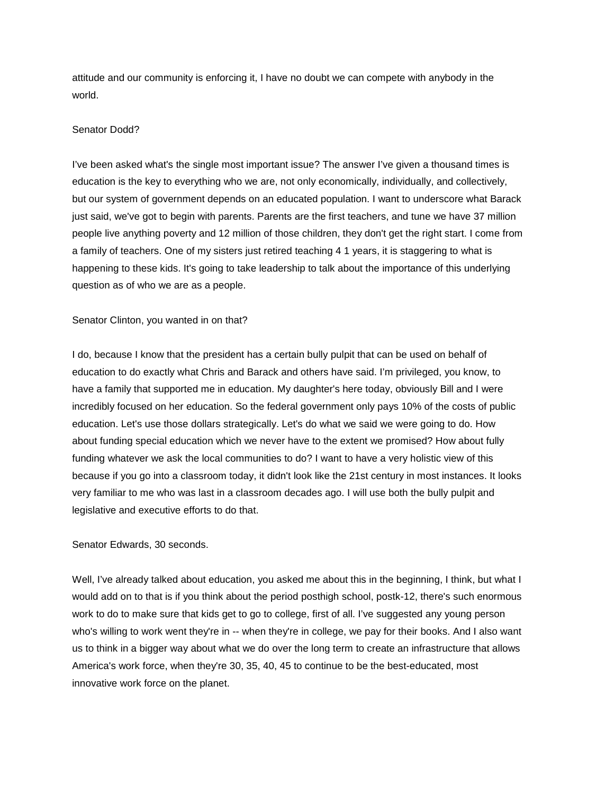attitude and our community is enforcing it, I have no doubt we can compete with anybody in the world.

#### Senator Dodd?

I've been asked what's the single most important issue? The answer I've given a thousand times is education is the key to everything who we are, not only economically, individually, and collectively, but our system of government depends on an educated population. I want to underscore what Barack just said, we've got to begin with parents. Parents are the first teachers, and tune we have 37 million people live anything poverty and 12 million of those children, they don't get the right start. I come from a family of teachers. One of my sisters just retired teaching 4 1 years, it is staggering to what is happening to these kids. It's going to take leadership to talk about the importance of this underlying question as of who we are as a people.

#### Senator Clinton, you wanted in on that?

I do, because I know that the president has a certain bully pulpit that can be used on behalf of education to do exactly what Chris and Barack and others have said. I'm privileged, you know, to have a family that supported me in education. My daughter's here today, obviously Bill and I were incredibly focused on her education. So the federal government only pays 10% of the costs of public education. Let's use those dollars strategically. Let's do what we said we were going to do. How about funding special education which we never have to the extent we promised? How about fully funding whatever we ask the local communities to do? I want to have a very holistic view of this because if you go into a classroom today, it didn't look like the 21st century in most instances. It looks very familiar to me who was last in a classroom decades ago. I will use both the bully pulpit and legislative and executive efforts to do that.

#### Senator Edwards, 30 seconds.

Well, I've already talked about education, you asked me about this in the beginning, I think, but what I would add on to that is if you think about the period posthigh school, postk-12, there's such enormous work to do to make sure that kids get to go to college, first of all. I've suggested any young person who's willing to work went they're in -- when they're in college, we pay for their books. And I also want us to think in a bigger way about what we do over the long term to create an infrastructure that allows America's work force, when they're 30, 35, 40, 45 to continue to be the best-educated, most innovative work force on the planet.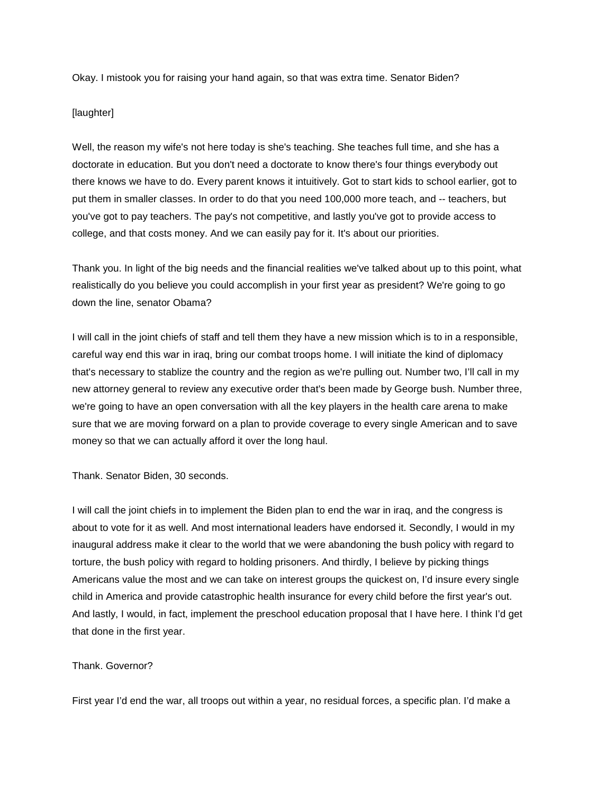Okay. I mistook you for raising your hand again, so that was extra time. Senator Biden?

#### [laughter]

Well, the reason my wife's not here today is she's teaching. She teaches full time, and she has a doctorate in education. But you don't need a doctorate to know there's four things everybody out there knows we have to do. Every parent knows it intuitively. Got to start kids to school earlier, got to put them in smaller classes. In order to do that you need 100,000 more teach, and -- teachers, but you've got to pay teachers. The pay's not competitive, and lastly you've got to provide access to college, and that costs money. And we can easily pay for it. It's about our priorities.

Thank you. In light of the big needs and the financial realities we've talked about up to this point, what realistically do you believe you could accomplish in your first year as president? We're going to go down the line, senator Obama?

I will call in the joint chiefs of staff and tell them they have a new mission which is to in a responsible, careful way end this war in iraq, bring our combat troops home. I will initiate the kind of diplomacy that's necessary to stablize the country and the region as we're pulling out. Number two, I'll call in my new attorney general to review any executive order that's been made by George bush. Number three, we're going to have an open conversation with all the key players in the health care arena to make sure that we are moving forward on a plan to provide coverage to every single American and to save money so that we can actually afford it over the long haul.

Thank. Senator Biden, 30 seconds.

I will call the joint chiefs in to implement the Biden plan to end the war in iraq, and the congress is about to vote for it as well. And most international leaders have endorsed it. Secondly, I would in my inaugural address make it clear to the world that we were abandoning the bush policy with regard to torture, the bush policy with regard to holding prisoners. And thirdly, I believe by picking things Americans value the most and we can take on interest groups the quickest on, I'd insure every single child in America and provide catastrophic health insurance for every child before the first year's out. And lastly, I would, in fact, implement the preschool education proposal that I have here. I think I'd get that done in the first year.

#### Thank. Governor?

First year I'd end the war, all troops out within a year, no residual forces, a specific plan. I'd make a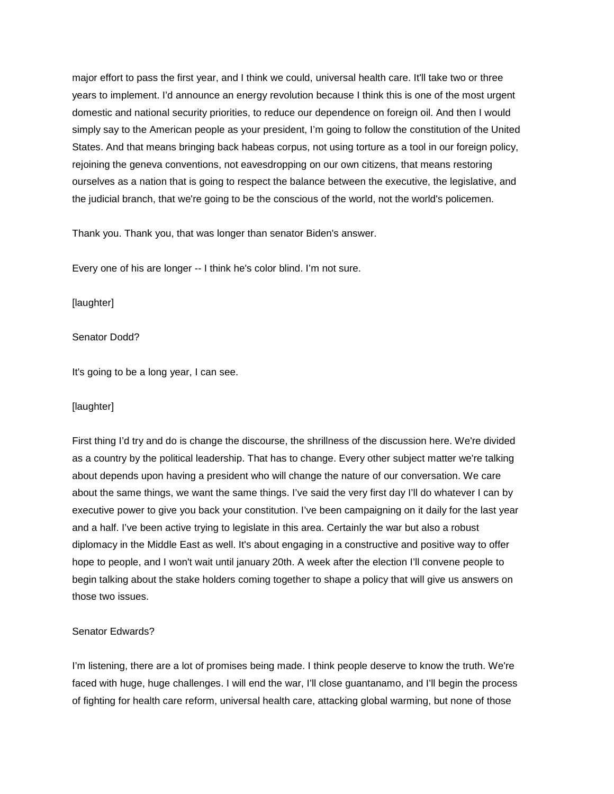major effort to pass the first year, and I think we could, universal health care. It'll take two or three years to implement. I'd announce an energy revolution because I think this is one of the most urgent domestic and national security priorities, to reduce our dependence on foreign oil. And then I would simply say to the American people as your president, I'm going to follow the constitution of the United States. And that means bringing back habeas corpus, not using torture as a tool in our foreign policy, rejoining the geneva conventions, not eavesdropping on our own citizens, that means restoring ourselves as a nation that is going to respect the balance between the executive, the legislative, and the judicial branch, that we're going to be the conscious of the world, not the world's policemen.

Thank you. Thank you, that was longer than senator Biden's answer.

Every one of his are longer -- I think he's color blind. I'm not sure.

[laughter]

Senator Dodd?

It's going to be a long year, I can see.

#### [laughter]

First thing I'd try and do is change the discourse, the shrillness of the discussion here. We're divided as a country by the political leadership. That has to change. Every other subject matter we're talking about depends upon having a president who will change the nature of our conversation. We care about the same things, we want the same things. I've said the very first day I'll do whatever I can by executive power to give you back your constitution. I've been campaigning on it daily for the last year and a half. I've been active trying to legislate in this area. Certainly the war but also a robust diplomacy in the Middle East as well. It's about engaging in a constructive and positive way to offer hope to people, and I won't wait until january 20th. A week after the election I'll convene people to begin talking about the stake holders coming together to shape a policy that will give us answers on those two issues.

#### Senator Edwards?

I'm listening, there are a lot of promises being made. I think people deserve to know the truth. We're faced with huge, huge challenges. I will end the war, I'll close guantanamo, and I'll begin the process of fighting for health care reform, universal health care, attacking global warming, but none of those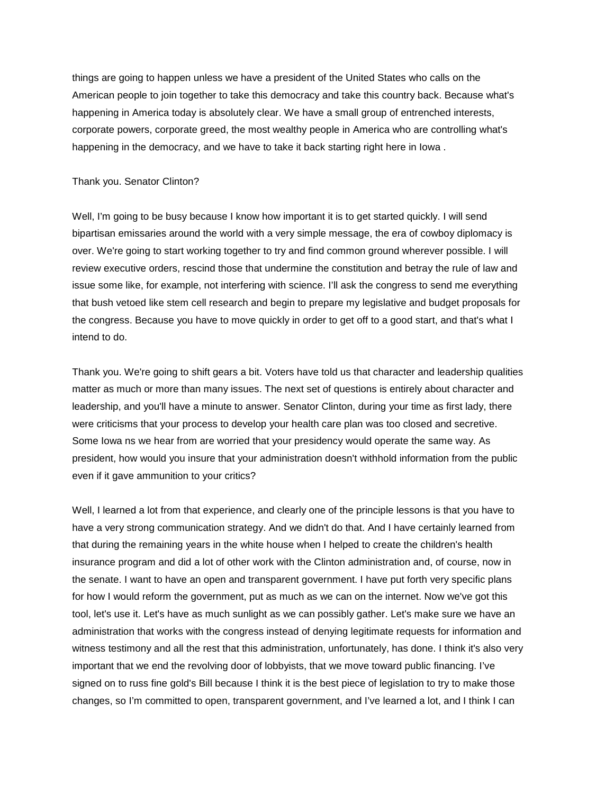things are going to happen unless we have a president of the United States who calls on the American people to join together to take this democracy and take this country back. Because what's happening in America today is absolutely clear. We have a small group of entrenched interests, corporate powers, corporate greed, the most wealthy people in America who are controlling what's happening in the democracy, and we have to take it back starting right here in Iowa .

#### Thank you. Senator Clinton?

Well, I'm going to be busy because I know how important it is to get started quickly. I will send bipartisan emissaries around the world with a very simple message, the era of cowboy diplomacy is over. We're going to start working together to try and find common ground wherever possible. I will review executive orders, rescind those that undermine the constitution and betray the rule of law and issue some like, for example, not interfering with science. I'll ask the congress to send me everything that bush vetoed like stem cell research and begin to prepare my legislative and budget proposals for the congress. Because you have to move quickly in order to get off to a good start, and that's what I intend to do.

Thank you. We're going to shift gears a bit. Voters have told us that character and leadership qualities matter as much or more than many issues. The next set of questions is entirely about character and leadership, and you'll have a minute to answer. Senator Clinton, during your time as first lady, there were criticisms that your process to develop your health care plan was too closed and secretive. Some Iowa ns we hear from are worried that your presidency would operate the same way. As president, how would you insure that your administration doesn't withhold information from the public even if it gave ammunition to your critics?

Well, I learned a lot from that experience, and clearly one of the principle lessons is that you have to have a very strong communication strategy. And we didn't do that. And I have certainly learned from that during the remaining years in the white house when I helped to create the children's health insurance program and did a lot of other work with the Clinton administration and, of course, now in the senate. I want to have an open and transparent government. I have put forth very specific plans for how I would reform the government, put as much as we can on the internet. Now we've got this tool, let's use it. Let's have as much sunlight as we can possibly gather. Let's make sure we have an administration that works with the congress instead of denying legitimate requests for information and witness testimony and all the rest that this administration, unfortunately, has done. I think it's also very important that we end the revolving door of lobbyists, that we move toward public financing. I've signed on to russ fine gold's Bill because I think it is the best piece of legislation to try to make those changes, so I'm committed to open, transparent government, and I've learned a lot, and I think I can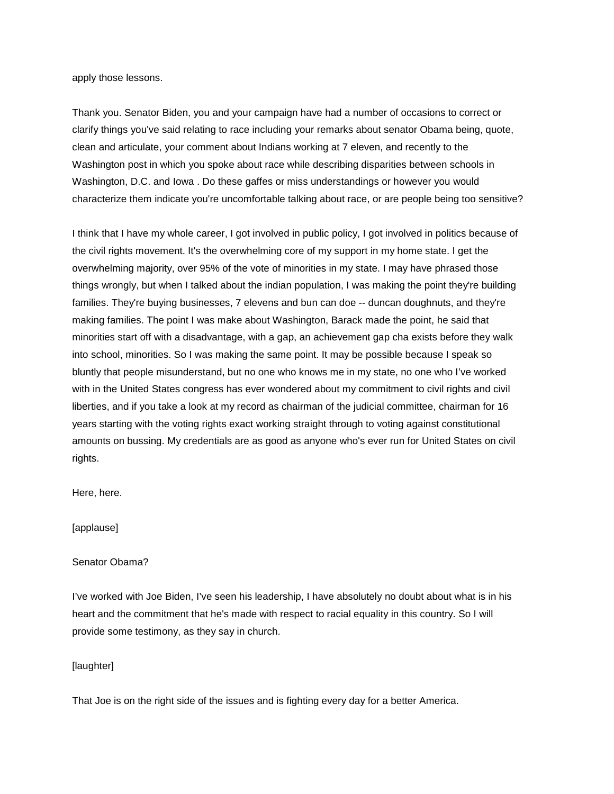apply those lessons.

Thank you. Senator Biden, you and your campaign have had a number of occasions to correct or clarify things you've said relating to race including your remarks about senator Obama being, quote, clean and articulate, your comment about Indians working at 7 eleven, and recently to the Washington post in which you spoke about race while describing disparities between schools in Washington, D.C. and Iowa . Do these gaffes or miss understandings or however you would characterize them indicate you're uncomfortable talking about race, or are people being too sensitive?

I think that I have my whole career, I got involved in public policy, I got involved in politics because of the civil rights movement. It's the overwhelming core of my support in my home state. I get the overwhelming majority, over 95% of the vote of minorities in my state. I may have phrased those things wrongly, but when I talked about the indian population, I was making the point they're building families. They're buying businesses, 7 elevens and bun can doe -- duncan doughnuts, and they're making families. The point I was make about Washington, Barack made the point, he said that minorities start off with a disadvantage, with a gap, an achievement gap cha exists before they walk into school, minorities. So I was making the same point. It may be possible because I speak so bluntly that people misunderstand, but no one who knows me in my state, no one who I've worked with in the United States congress has ever wondered about my commitment to civil rights and civil liberties, and if you take a look at my record as chairman of the judicial committee, chairman for 16 years starting with the voting rights exact working straight through to voting against constitutional amounts on bussing. My credentials are as good as anyone who's ever run for United States on civil rights.

Here, here.

[applause]

# Senator Obama?

I've worked with Joe Biden, I've seen his leadership, I have absolutely no doubt about what is in his heart and the commitment that he's made with respect to racial equality in this country. So I will provide some testimony, as they say in church.

#### [laughter]

That Joe is on the right side of the issues and is fighting every day for a better America.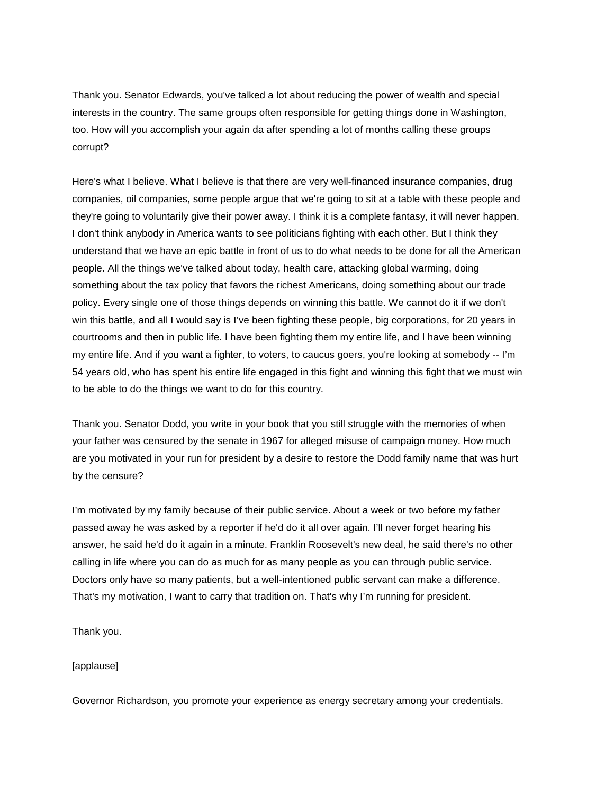Thank you. Senator Edwards, you've talked a lot about reducing the power of wealth and special interests in the country. The same groups often responsible for getting things done in Washington, too. How will you accomplish your again da after spending a lot of months calling these groups corrupt?

Here's what I believe. What I believe is that there are very well-financed insurance companies, drug companies, oil companies, some people argue that we're going to sit at a table with these people and they're going to voluntarily give their power away. I think it is a complete fantasy, it will never happen. I don't think anybody in America wants to see politicians fighting with each other. But I think they understand that we have an epic battle in front of us to do what needs to be done for all the American people. All the things we've talked about today, health care, attacking global warming, doing something about the tax policy that favors the richest Americans, doing something about our trade policy. Every single one of those things depends on winning this battle. We cannot do it if we don't win this battle, and all I would say is I've been fighting these people, big corporations, for 20 years in courtrooms and then in public life. I have been fighting them my entire life, and I have been winning my entire life. And if you want a fighter, to voters, to caucus goers, you're looking at somebody -- I'm 54 years old, who has spent his entire life engaged in this fight and winning this fight that we must win to be able to do the things we want to do for this country.

Thank you. Senator Dodd, you write in your book that you still struggle with the memories of when your father was censured by the senate in 1967 for alleged misuse of campaign money. How much are you motivated in your run for president by a desire to restore the Dodd family name that was hurt by the censure?

I'm motivated by my family because of their public service. About a week or two before my father passed away he was asked by a reporter if he'd do it all over again. I'll never forget hearing his answer, he said he'd do it again in a minute. Franklin Roosevelt's new deal, he said there's no other calling in life where you can do as much for as many people as you can through public service. Doctors only have so many patients, but a well-intentioned public servant can make a difference. That's my motivation, I want to carry that tradition on. That's why I'm running for president.

Thank you.

[applause]

Governor Richardson, you promote your experience as energy secretary among your credentials.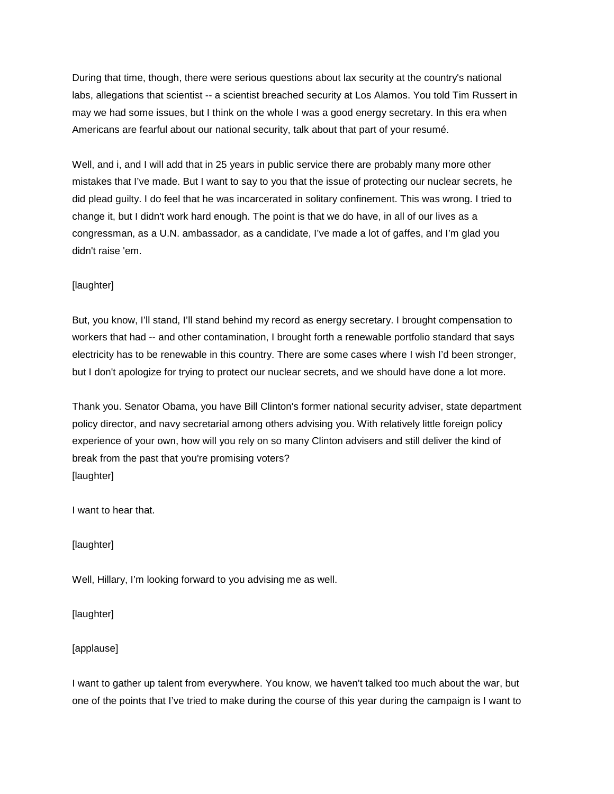During that time, though, there were serious questions about lax security at the country's national labs, allegations that scientist -- a scientist breached security at Los Alamos. You told Tim Russert in may we had some issues, but I think on the whole I was a good energy secretary. In this era when Americans are fearful about our national security, talk about that part of your resumé.

Well, and i, and I will add that in 25 years in public service there are probably many more other mistakes that I've made. But I want to say to you that the issue of protecting our nuclear secrets, he did plead guilty. I do feel that he was incarcerated in solitary confinement. This was wrong. I tried to change it, but I didn't work hard enough. The point is that we do have, in all of our lives as a congressman, as a U.N. ambassador, as a candidate, I've made a lot of gaffes, and I'm glad you didn't raise 'em.

#### [laughter]

But, you know, I'll stand, I'll stand behind my record as energy secretary. I brought compensation to workers that had -- and other contamination, I brought forth a renewable portfolio standard that says electricity has to be renewable in this country. There are some cases where I wish I'd been stronger, but I don't apologize for trying to protect our nuclear secrets, and we should have done a lot more.

Thank you. Senator Obama, you have Bill Clinton's former national security adviser, state department policy director, and navy secretarial among others advising you. With relatively little foreign policy experience of your own, how will you rely on so many Clinton advisers and still deliver the kind of break from the past that you're promising voters? [laughter]

I want to hear that.

[laughter]

Well, Hillary, I'm looking forward to you advising me as well.

[laughter]

#### [applause]

I want to gather up talent from everywhere. You know, we haven't talked too much about the war, but one of the points that I've tried to make during the course of this year during the campaign is I want to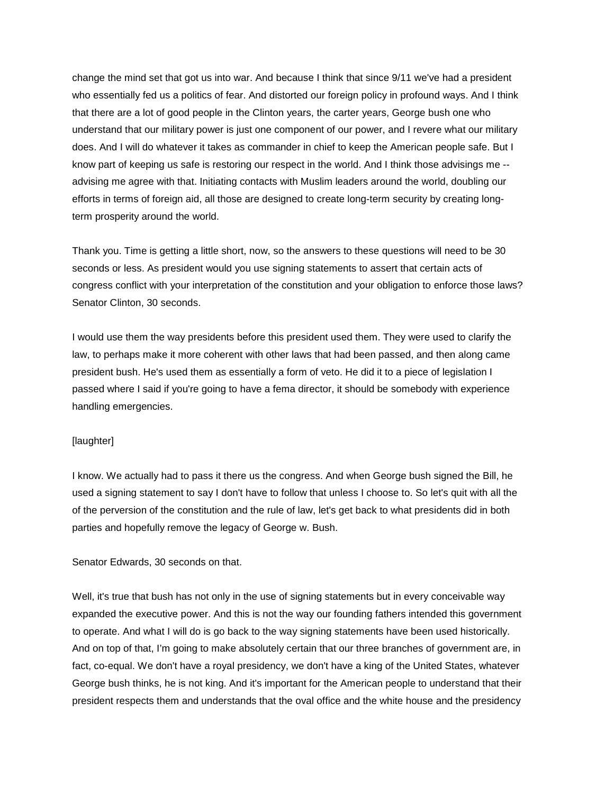change the mind set that got us into war. And because I think that since 9/11 we've had a president who essentially fed us a politics of fear. And distorted our foreign policy in profound ways. And I think that there are a lot of good people in the Clinton years, the carter years, George bush one who understand that our military power is just one component of our power, and I revere what our military does. And I will do whatever it takes as commander in chief to keep the American people safe. But I know part of keeping us safe is restoring our respect in the world. And I think those advisings me - advising me agree with that. Initiating contacts with Muslim leaders around the world, doubling our efforts in terms of foreign aid, all those are designed to create long-term security by creating longterm prosperity around the world.

Thank you. Time is getting a little short, now, so the answers to these questions will need to be 30 seconds or less. As president would you use signing statements to assert that certain acts of congress conflict with your interpretation of the constitution and your obligation to enforce those laws? Senator Clinton, 30 seconds.

I would use them the way presidents before this president used them. They were used to clarify the law, to perhaps make it more coherent with other laws that had been passed, and then along came president bush. He's used them as essentially a form of veto. He did it to a piece of legislation I passed where I said if you're going to have a fema director, it should be somebody with experience handling emergencies.

#### [laughter]

I know. We actually had to pass it there us the congress. And when George bush signed the Bill, he used a signing statement to say I don't have to follow that unless I choose to. So let's quit with all the of the perversion of the constitution and the rule of law, let's get back to what presidents did in both parties and hopefully remove the legacy of George w. Bush.

# Senator Edwards, 30 seconds on that.

Well, it's true that bush has not only in the use of signing statements but in every conceivable way expanded the executive power. And this is not the way our founding fathers intended this government to operate. And what I will do is go back to the way signing statements have been used historically. And on top of that, I'm going to make absolutely certain that our three branches of government are, in fact, co-equal. We don't have a royal presidency, we don't have a king of the United States, whatever George bush thinks, he is not king. And it's important for the American people to understand that their president respects them and understands that the oval office and the white house and the presidency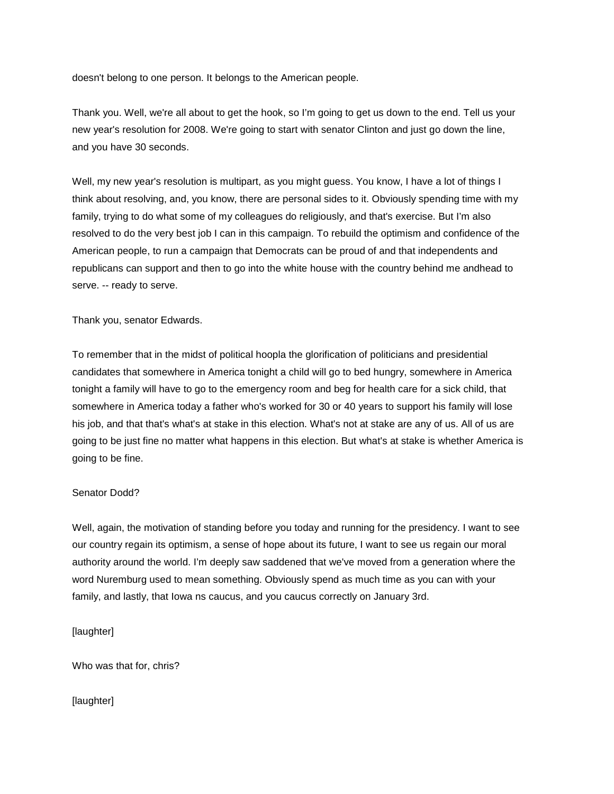doesn't belong to one person. It belongs to the American people.

Thank you. Well, we're all about to get the hook, so I'm going to get us down to the end. Tell us your new year's resolution for 2008. We're going to start with senator Clinton and just go down the line, and you have 30 seconds.

Well, my new year's resolution is multipart, as you might guess. You know, I have a lot of things I think about resolving, and, you know, there are personal sides to it. Obviously spending time with my family, trying to do what some of my colleagues do religiously, and that's exercise. But I'm also resolved to do the very best job I can in this campaign. To rebuild the optimism and confidence of the American people, to run a campaign that Democrats can be proud of and that independents and republicans can support and then to go into the white house with the country behind me andhead to serve. -- ready to serve.

Thank you, senator Edwards.

To remember that in the midst of political hoopla the glorification of politicians and presidential candidates that somewhere in America tonight a child will go to bed hungry, somewhere in America tonight a family will have to go to the emergency room and beg for health care for a sick child, that somewhere in America today a father who's worked for 30 or 40 years to support his family will lose his job, and that that's what's at stake in this election. What's not at stake are any of us. All of us are going to be just fine no matter what happens in this election. But what's at stake is whether America is going to be fine.

#### Senator Dodd?

Well, again, the motivation of standing before you today and running for the presidency. I want to see our country regain its optimism, a sense of hope about its future, I want to see us regain our moral authority around the world. I'm deeply saw saddened that we've moved from a generation where the word Nuremburg used to mean something. Obviously spend as much time as you can with your family, and lastly, that Iowa ns caucus, and you caucus correctly on January 3rd.

[laughter]

Who was that for, chris?

[laughter]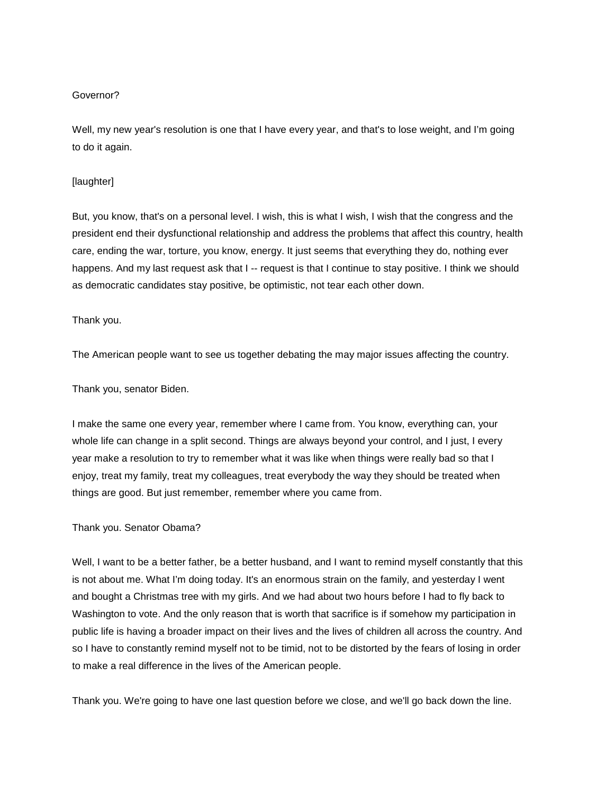#### Governor?

Well, my new year's resolution is one that I have every year, and that's to lose weight, and I'm going to do it again.

#### [laughter]

But, you know, that's on a personal level. I wish, this is what I wish, I wish that the congress and the president end their dysfunctional relationship and address the problems that affect this country, health care, ending the war, torture, you know, energy. It just seems that everything they do, nothing ever happens. And my last request ask that I -- request is that I continue to stay positive. I think we should as democratic candidates stay positive, be optimistic, not tear each other down.

#### Thank you.

The American people want to see us together debating the may major issues affecting the country.

Thank you, senator Biden.

I make the same one every year, remember where I came from. You know, everything can, your whole life can change in a split second. Things are always beyond your control, and I just, I every year make a resolution to try to remember what it was like when things were really bad so that I enjoy, treat my family, treat my colleagues, treat everybody the way they should be treated when things are good. But just remember, remember where you came from.

#### Thank you. Senator Obama?

Well, I want to be a better father, be a better husband, and I want to remind myself constantly that this is not about me. What I'm doing today. It's an enormous strain on the family, and yesterday I went and bought a Christmas tree with my girls. And we had about two hours before I had to fly back to Washington to vote. And the only reason that is worth that sacrifice is if somehow my participation in public life is having a broader impact on their lives and the lives of children all across the country. And so I have to constantly remind myself not to be timid, not to be distorted by the fears of losing in order to make a real difference in the lives of the American people.

Thank you. We're going to have one last question before we close, and we'll go back down the line.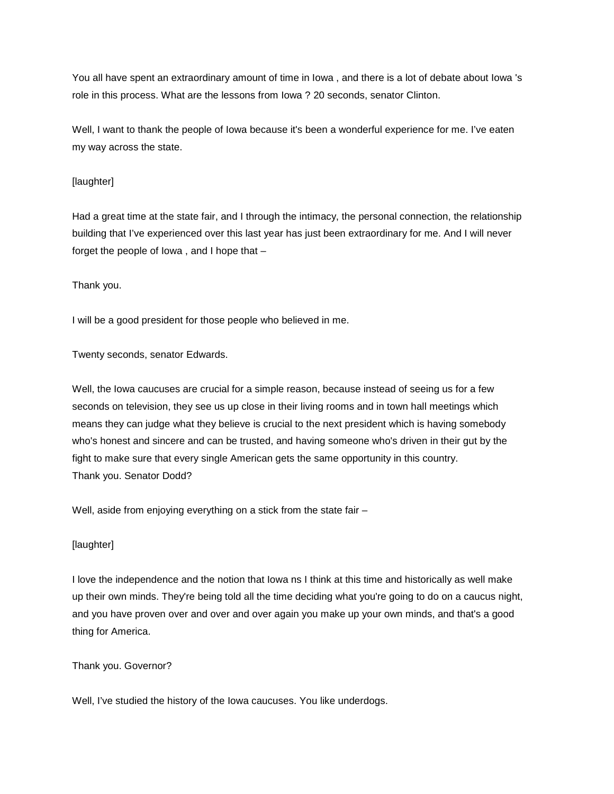You all have spent an extraordinary amount of time in Iowa , and there is a lot of debate about Iowa 's role in this process. What are the lessons from Iowa ? 20 seconds, senator Clinton.

Well, I want to thank the people of Iowa because it's been a wonderful experience for me. I've eaten my way across the state.

# [laughter]

Had a great time at the state fair, and I through the intimacy, the personal connection, the relationship building that I've experienced over this last year has just been extraordinary for me. And I will never forget the people of Iowa , and I hope that –

# Thank you.

I will be a good president for those people who believed in me.

Twenty seconds, senator Edwards.

Well, the Iowa caucuses are crucial for a simple reason, because instead of seeing us for a few seconds on television, they see us up close in their living rooms and in town hall meetings which means they can judge what they believe is crucial to the next president which is having somebody who's honest and sincere and can be trusted, and having someone who's driven in their gut by the fight to make sure that every single American gets the same opportunity in this country. Thank you. Senator Dodd?

Well, aside from enjoying everything on a stick from the state fair –

# [laughter]

I love the independence and the notion that Iowa ns I think at this time and historically as well make up their own minds. They're being told all the time deciding what you're going to do on a caucus night, and you have proven over and over and over again you make up your own minds, and that's a good thing for America.

# Thank you. Governor?

Well, I've studied the history of the Iowa caucuses. You like underdogs.